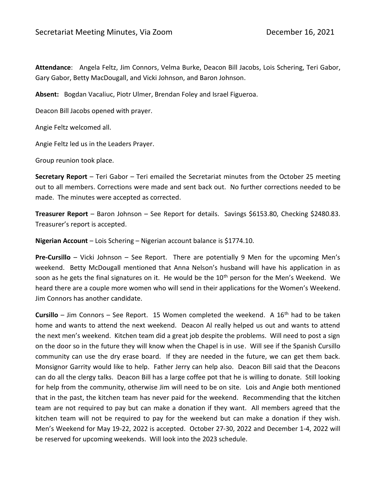**Attendance**: Angela Feltz, Jim Connors, Velma Burke, Deacon Bill Jacobs, Lois Schering, Teri Gabor, Gary Gabor, Betty MacDougall, and Vicki Johnson, and Baron Johnson.

**Absent:** Bogdan Vacaliuc, Piotr Ulmer, Brendan Foley and Israel Figueroa.

Deacon Bill Jacobs opened with prayer.

Angie Feltz welcomed all.

Angie Feltz led us in the Leaders Prayer.

Group reunion took place.

**Secretary Report** – Teri Gabor – Teri emailed the Secretariat minutes from the October 25 meeting out to all members. Corrections were made and sent back out. No further corrections needed to be made. The minutes were accepted as corrected.

**Treasurer Report** – Baron Johnson – See Report for details. Savings \$6153.80, Checking \$2480.83. Treasurer's report is accepted.

**Nigerian Account** – Lois Schering – Nigerian account balance is \$1774.10.

**Pre-Cursillo** – Vicki Johnson – See Report. There are potentially 9 Men for the upcoming Men's weekend. Betty McDougall mentioned that Anna Nelson's husband will have his application in as soon as he gets the final signatures on it. He would be the 10<sup>th</sup> person for the Men's Weekend. We heard there are a couple more women who will send in their applications for the Women's Weekend. Jim Connors has another candidate.

**Cursillo** – Jim Connors – See Report. 15 Women completed the weekend. A 16<sup>th</sup> had to be taken home and wants to attend the next weekend. Deacon Al really helped us out and wants to attend the next men's weekend. Kitchen team did a great job despite the problems. Will need to post a sign on the door so in the future they will know when the Chapel is in use. Will see if the Spanish Cursillo community can use the dry erase board. If they are needed in the future, we can get them back. Monsignor Garrity would like to help. Father Jerry can help also. Deacon Bill said that the Deacons can do all the clergy talks. Deacon Bill has a large coffee pot that he is willing to donate. Still looking for help from the community, otherwise Jim will need to be on site. Lois and Angie both mentioned that in the past, the kitchen team has never paid for the weekend. Recommending that the kitchen team are not required to pay but can make a donation if they want. All members agreed that the kitchen team will not be required to pay for the weekend but can make a donation if they wish. Men's Weekend for May 19-22, 2022 is accepted. October 27-30, 2022 and December 1-4, 2022 will be reserved for upcoming weekends. Will look into the 2023 schedule.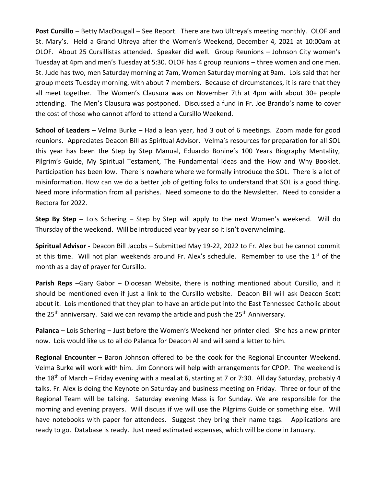**Post Cursillo** – Betty MacDougall – See Report. There are two Ultreya's meeting monthly. OLOF and St. Mary's. Held a Grand Ultreya after the Women's Weekend, December 4, 2021 at 10:00am at OLOF. About 25 Cursillistas attended. Speaker did well. Group Reunions – Johnson City women's Tuesday at 4pm and men's Tuesday at 5:30. OLOF has 4 group reunions – three women and one men. St. Jude has two, men Saturday morning at 7am, Women Saturday morning at 9am. Lois said that her group meets Tuesday morning, with about 7 members. Because of circumstances, it is rare that they all meet together. The Women's Clausura was on November 7th at 4pm with about 30+ people attending. The Men's Clausura was postponed. Discussed a fund in Fr. Joe Brando's name to cover the cost of those who cannot afford to attend a Cursillo Weekend.

**School of Leaders** – Velma Burke – Had a lean year, had 3 out of 6 meetings. Zoom made for good reunions. Appreciates Deacon Bill as Spiritual Advisor. Velma's resources for preparation for all SOL this year has been the Step by Step Manual, Eduardo Bonine's 100 Years Biography Mentality, Pilgrim's Guide, My Spiritual Testament, The Fundamental Ideas and the How and Why Booklet. Participation has been low. There is nowhere where we formally introduce the SOL. There is a lot of misinformation. How can we do a better job of getting folks to understand that SOL is a good thing. Need more information from all parishes. Need someone to do the Newsletter. Need to consider a Rectora for 2022.

**Step By Step –** Lois Schering – Step by Step will apply to the next Women's weekend. Will do Thursday of the weekend. Will be introduced year by year so it isn't overwhelming.

**Spiritual Advisor -** Deacon Bill Jacobs – Submitted May 19-22, 2022 to Fr. Alex but he cannot commit at this time. Will not plan weekends around Fr. Alex's schedule. Remember to use the  $1<sup>st</sup>$  of the month as a day of prayer for Cursillo.

**Parish Reps** –Gary Gabor – Diocesan Website, there is nothing mentioned about Cursillo, and it should be mentioned even if just a link to the Cursillo website. Deacon Bill will ask Deacon Scott about it. Lois mentioned that they plan to have an article put into the East Tennessee Catholic about the 25<sup>th</sup> anniversary. Said we can revamp the article and push the 25<sup>th</sup> Anniversary.

**Palanca** – Lois Schering – Just before the Women's Weekend her printer died. She has a new printer now. Lois would like us to all do Palanca for Deacon Al and will send a letter to him.

**Regional Encounter** – Baron Johnson offered to be the cook for the Regional Encounter Weekend. Velma Burke will work with him. Jim Connors will help with arrangements for CPOP. The weekend is the 18<sup>th</sup> of March – Friday evening with a meal at 6, starting at 7 or 7:30. All day Saturday, probably 4 talks. Fr. Alex is doing the Keynote on Saturday and business meeting on Friday. Three or four of the Regional Team will be talking. Saturday evening Mass is for Sunday. We are responsible for the morning and evening prayers. Will discuss if we will use the Pilgrims Guide or something else. Will have notebooks with paper for attendees. Suggest they bring their name tags. Applications are ready to go. Database is ready. Just need estimated expenses, which will be done in January.